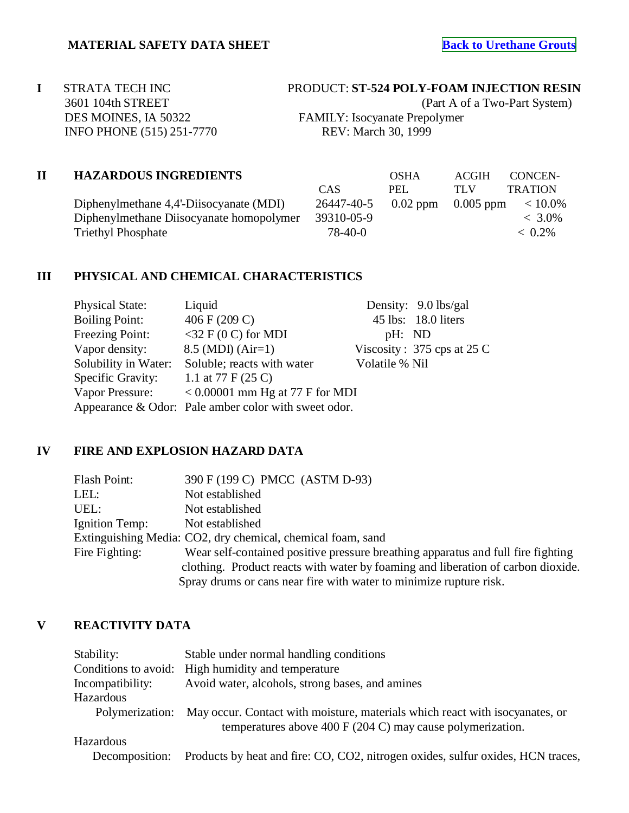**I** STRATA TECH INC PRODUCT: **ST-524 POLY-FOAM INJECTION RESIN** 3601 104th STREET (Part A of a Two-Part System) DES MOINES, IA 50322 FAMILY: Isocyanate Prepolymer INFO PHONE (515) 251-7770 REV: March 30, 1999

### **II HAZARDOUS INGREDIENTS** OSHA ACGIH CONCEN-

Diphenylmethane 4,4'-Diisocyanate (MDI) Diphenylmethane Diisocyanate homopolymer Triethyl Phosphate

|         | CAS.                                    | PEL. | TLV | <b>TRATION</b> |
|---------|-----------------------------------------|------|-----|----------------|
| MDI)    | $26447-40-5$ 0.02 ppm 0.005 ppm < 10.0% |      |     |                |
| polymer | 39310-05-9                              |      |     | $< 3.0\%$      |
|         | 78-40-0                                 |      |     | $~< 0.2\%$     |
|         |                                         |      |     |                |

# **III PHYSICAL AND CHEMICAL CHARACTERISTICS**

| <b>Physical State:</b> | Liquid                                               |                | Density: 9.0 lbs/gal         |
|------------------------|------------------------------------------------------|----------------|------------------------------|
| <b>Boiling Point:</b>  | 406 F (209 C)                                        |                | 45 lbs: 18.0 liters          |
| Freezing Point:        | $<$ 32 F (0 C) for MDI                               | pH: ND         |                              |
| Vapor density:         | $8.5$ (MDI) (Air=1)                                  |                | Viscosity: $375$ cps at 25 C |
| Solubility in Water:   | Soluble; reacts with water                           | Volatile % Nil |                              |
| Specific Gravity:      | 1.1 at 77 F $(25 C)$                                 |                |                              |
| Vapor Pressure:        | $< 0.00001$ mm Hg at 77 F for MDI                    |                |                              |
|                        | Appearance & Odor: Pale amber color with sweet odor. |                |                              |

### **IV FIRE AND EXPLOSION HAZARD DATA**

| Flash Point:   | 390 F (199 C) PMCC (ASTM D-93)                                                   |
|----------------|----------------------------------------------------------------------------------|
| LEL:           | Not established                                                                  |
| UEL:           | Not established                                                                  |
| Ignition Temp: | Not established                                                                  |
|                | Extinguishing Media: CO2, dry chemical, chemical foam, sand                      |
| Fire Fighting: | Wear self-contained positive pressure breathing apparatus and full fire fighting |
|                | clothing. Product reacts with water by foaming and liberation of carbon dioxide. |
|                | Spray drums or cans near fire with water to minimize rupture risk.               |

# **V REACTIVITY DATA**

| Stability:       | Stable under normal handling conditions                                                                                                              |
|------------------|------------------------------------------------------------------------------------------------------------------------------------------------------|
|                  | Conditions to avoid: High humidity and temperature                                                                                                   |
| Incompatibility: | Avoid water, alcohols, strong bases, and amines                                                                                                      |
| Hazardous        |                                                                                                                                                      |
| Polymerization:  | May occur. Contact with moisture, materials which react with isocyanates, or<br>temperatures above 400 F $(204 \text{ C})$ may cause polymerization. |
| <b>Hazardous</b> |                                                                                                                                                      |
| Decomposition:   | Products by heat and fire: CO, CO2, nitrogen oxides, sulfur oxides, HCN traces,                                                                      |
|                  |                                                                                                                                                      |